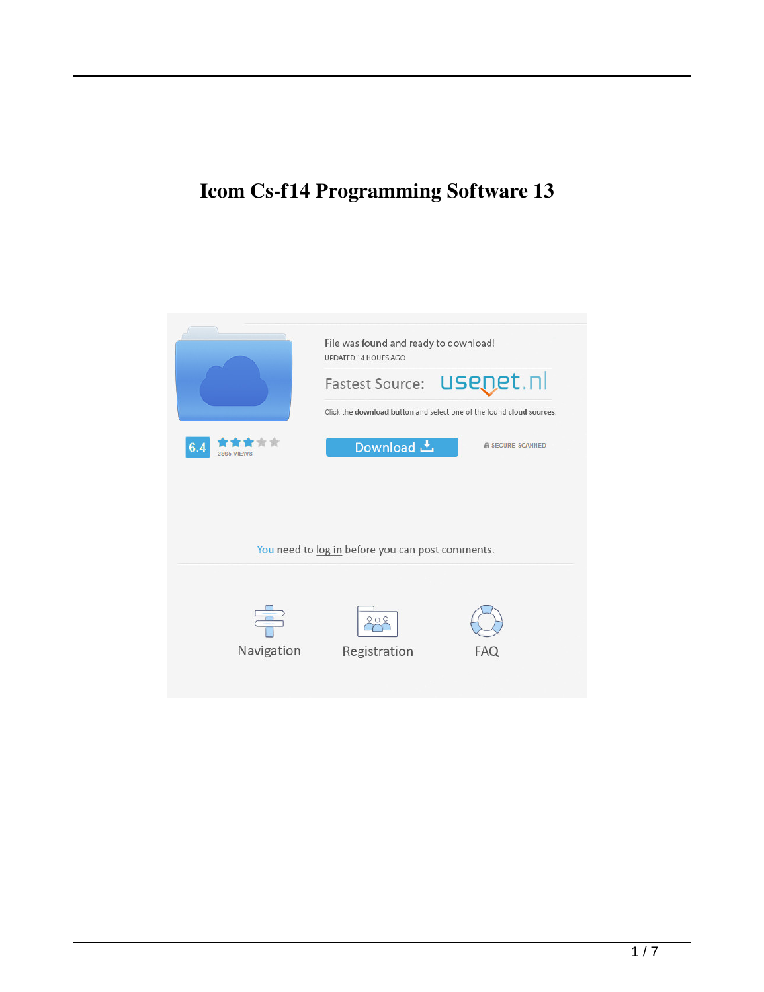## **Icom Cs-f14 Programming Software 13**

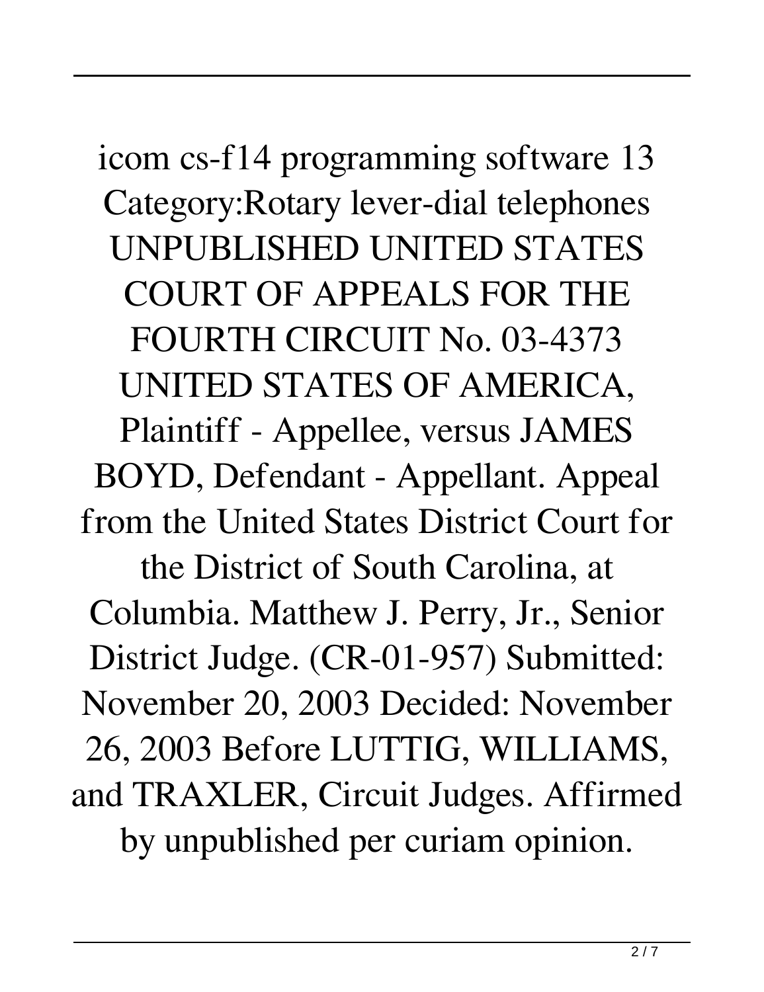icom cs-f14 programming software 13 Category:Rotary lever-dial telephones UNPUBLISHED UNITED STATES COURT OF APPEALS FOR THE FOURTH CIRCUIT No. 03-4373 UNITED STATES OF AMERICA, Plaintiff - Appellee, versus JAMES BOYD, Defendant - Appellant. Appeal from the United States District Court for the District of South Carolina, at Columbia. Matthew J. Perry, Jr., Senior District Judge. (CR-01-957) Submitted: November 20, 2003 Decided: November 26, 2003 Before LUTTIG, WILLIAMS, and TRAXLER, Circuit Judges. Affirmed by unpublished per curiam opinion.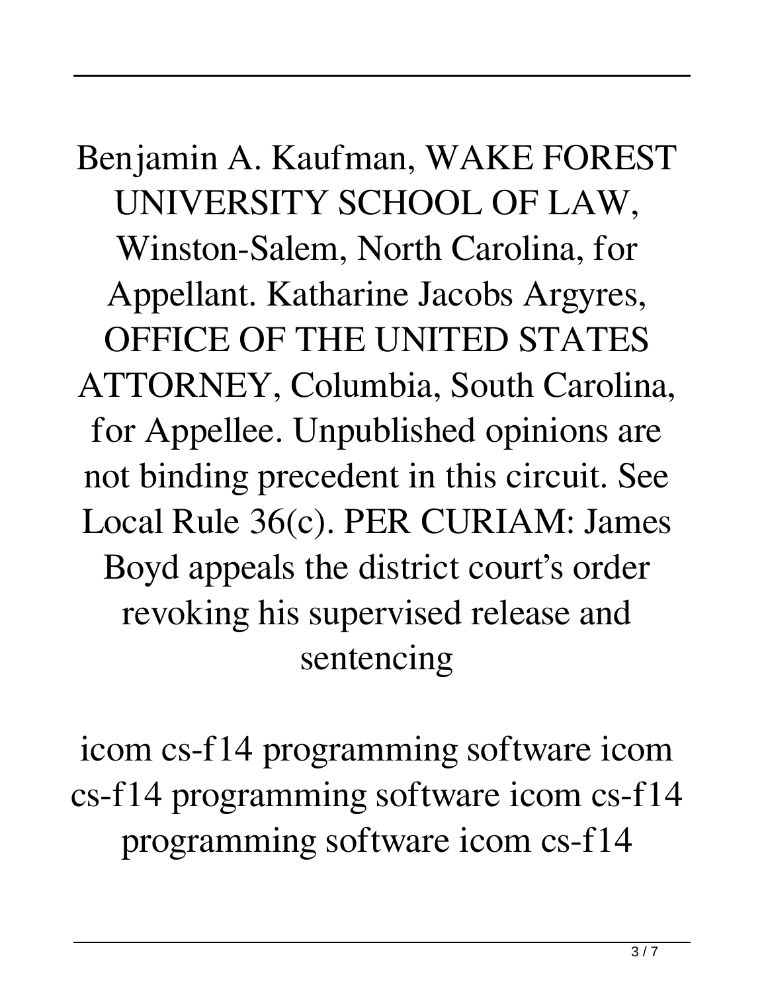Benjamin A. Kaufman, WAKE FOREST UNIVERSITY SCHOOL OF LAW, Winston-Salem, North Carolina, for Appellant. Katharine Jacobs Argyres, OFFICE OF THE UNITED STATES ATTORNEY, Columbia, South Carolina, for Appellee. Unpublished opinions are not binding precedent in this circuit. See Local Rule 36(c). PER CURIAM: James Boyd appeals the district court's order revoking his supervised release and sentencing

icom cs-f14 programming software icom cs-f14 programming software icom cs-f14 programming software icom cs-f14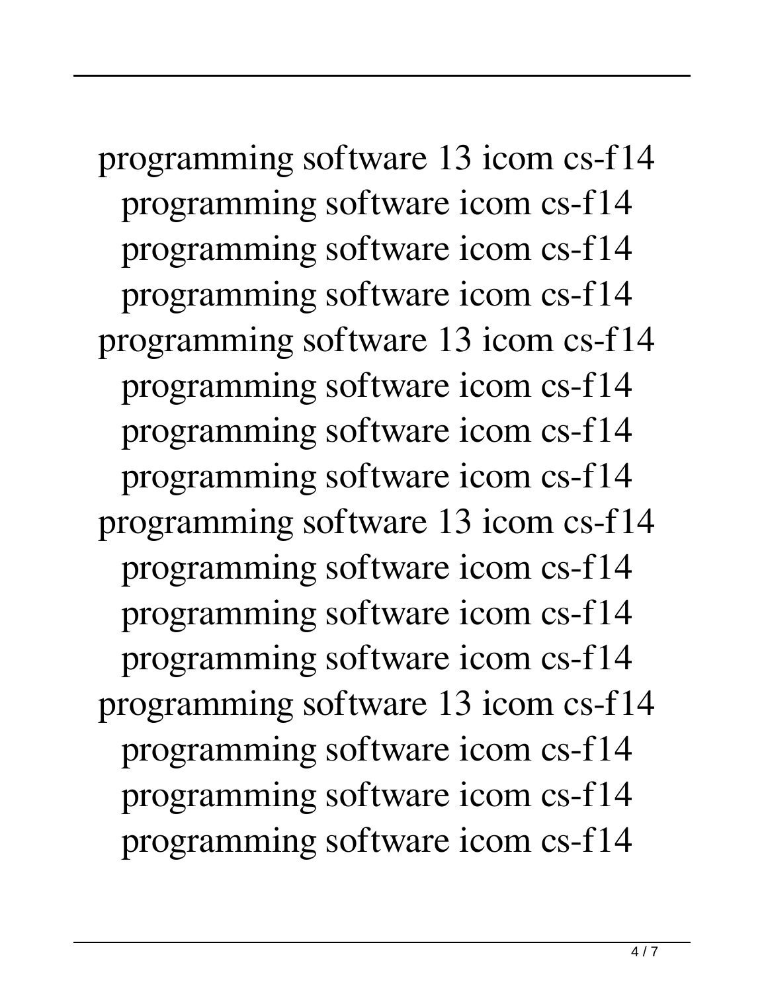programming software 13 icom cs-f14 programming software icom cs-f14 programming software icom cs-f14 programming software icom cs-f14 programming software 13 icom cs-f14 programming software icom cs-f14 programming software icom cs-f14 programming software icom cs-f14 programming software 13 icom cs-f14 programming software icom cs-f14 programming software icom cs-f14 programming software icom cs-f14 programming software 13 icom cs-f14 programming software icom cs-f14 programming software icom cs-f14 programming software icom cs-f14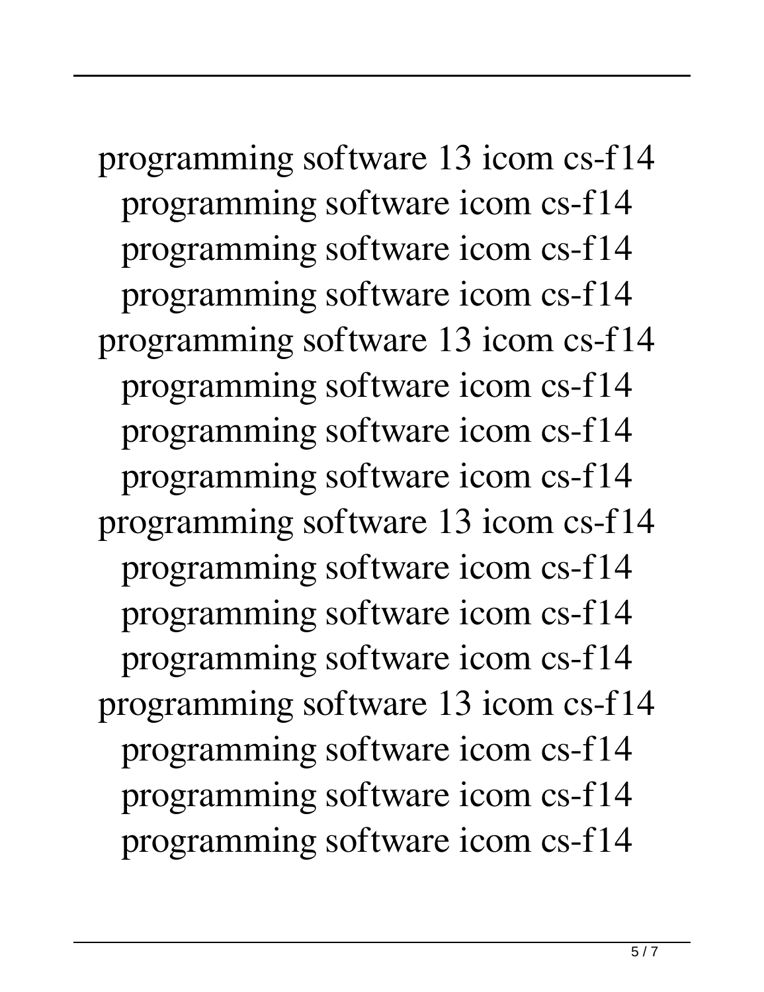programming software 13 icom cs-f14 programming software icom cs-f14 programming software icom cs-f14 programming software icom cs-f14 programming software 13 icom cs-f14 programming software icom cs-f14 programming software icom cs-f14 programming software icom cs-f14 programming software 13 icom cs-f14 programming software icom cs-f14 programming software icom cs-f14 programming software icom cs-f14 programming software 13 icom cs-f14 programming software icom cs-f14 programming software icom cs-f14 programming software icom cs-f14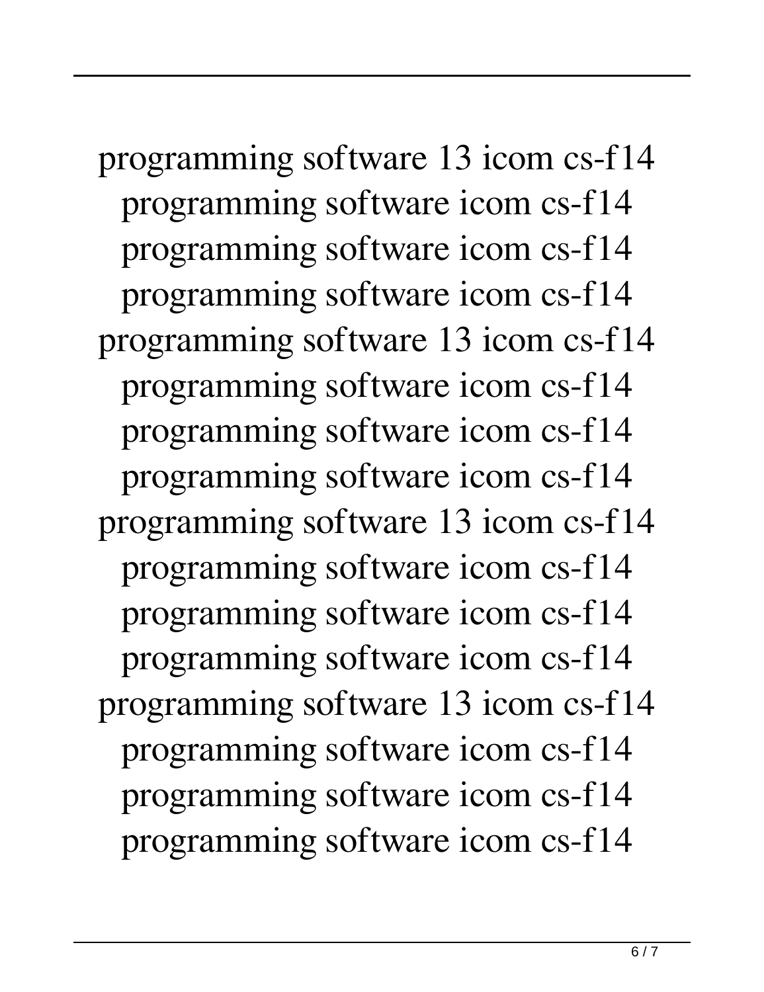programming software 13 icom cs-f14 programming software icom cs-f14 programming software icom cs-f14 programming software icom cs-f14 programming software 13 icom cs-f14 programming software icom cs-f14 programming software icom cs-f14 programming software icom cs-f14 programming software 13 icom cs-f14 programming software icom cs-f14 programming software icom cs-f14 programming software icom cs-f14 programming software 13 icom cs-f14 programming software icom cs-f14 programming software icom cs-f14 programming software icom cs-f14